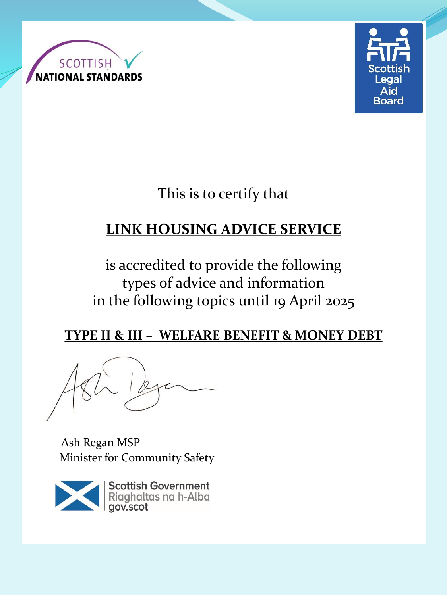



This is to certify that

# **LINK HOUSING ADVICE SERVICE**

is accredited to provide the following types of advice and information in the following topics until 19 April 2025

### **TYPE II & III – WELFARE BENEFIT & MONEY DEBT**

Ash Regan MSP Minister for Community Safety

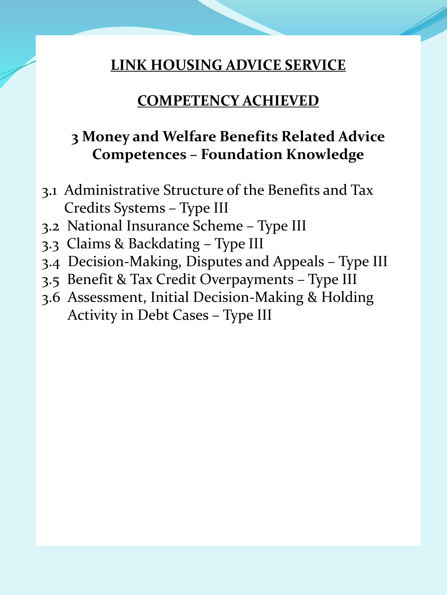### **COMPETENCY ACHIEVED**

# **3 Money and Welfare Benefits Related Advice Competences – Foundation Knowledge**

- 3.1 Administrative Structure of the Benefits and Tax Credits Systems – Type III
- 3.2 National Insurance Scheme Type III
- 3.3 Claims & Backdating Type III
- 3.4 Decision-Making, Disputes and Appeals Type III
- 3.5 Benefit & Tax Credit Overpayments Type III
- 3.6 Assessment, Initial Decision-Making & Holding Activity in Debt Cases – Type III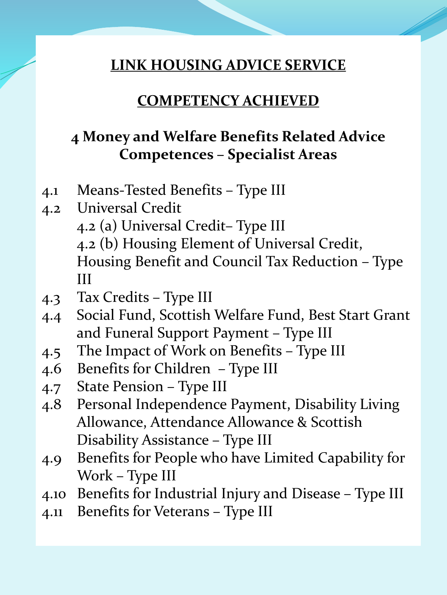#### **COMPETENCY ACHIEVED**

## **4 Money and Welfare Benefits Related Advice Competences – Specialist Areas**

- 4.1 Means-Tested Benefits Type III
- 4.2 Universal Credit 4.2 (a) Universal Credit– Type III 4.2 (b) Housing Element of Universal Credit, Housing Benefit and Council Tax Reduction – Type III
- 4.3 Tax Credits Type III
- 4.4 Social Fund, Scottish Welfare Fund, Best Start Grant and Funeral Support Payment – Type III
- 4.5 The Impact of Work on Benefits Type III
- 4.6 Benefits for Children Type III
- 4.7 State Pension Type III
- 4.8 Personal Independence Payment, Disability Living Allowance, Attendance Allowance & Scottish Disability Assistance – Type III
- 4.9 Benefits for People who have Limited Capability for Work – Type III
- 4.10 Benefits for Industrial Injury and Disease Type III
- 4.11 Benefits for Veterans Type III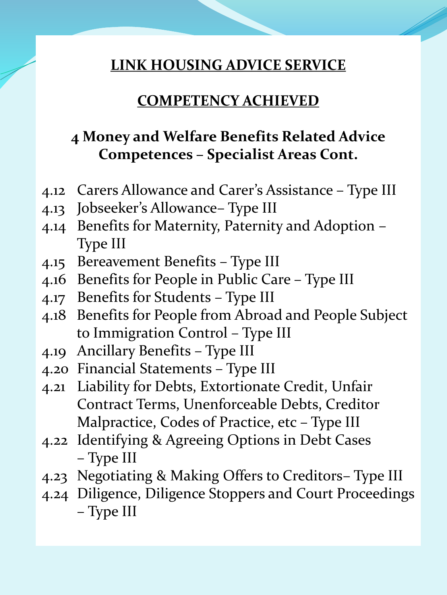#### **COMPETENCY ACHIEVED**

# **4 Money and Welfare Benefits Related Advice Competences – Specialist Areas Cont.**

- 4.12 Carers Allowance and Carer's Assistance Type III
- 4.13 Jobseeker's Allowance– Type III
- 4.14 Benefits for Maternity, Paternity and Adoption Type III
- 4.15 Bereavement Benefits Type III
- 4.16 Benefits for People in Public Care Type III
- 4.17 Benefits for Students Type III
- 4.18 Benefits for People from Abroad and People Subject to Immigration Control – Type III
- 4.19 Ancillary Benefits Type III
- 4.20 Financial Statements Type III
- 4.21 Liability for Debts, Extortionate Credit, Unfair Contract Terms, Unenforceable Debts, Creditor Malpractice, Codes of Practice, etc – Type III
- 4.22 Identifying & Agreeing Options in Debt Cases – Type III
- 4.23 Negotiating & Making Offers to Creditors– Type III
- 4.24 Diligence, Diligence Stoppers and Court Proceedings – Type III